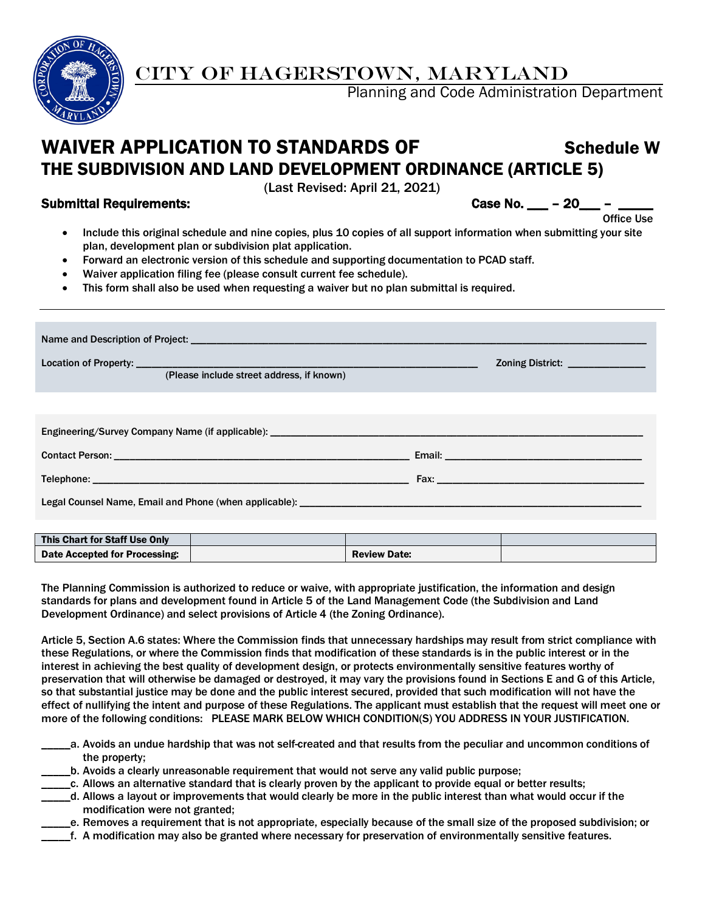

# CITY OF HAGERSTOWN, MARYLAND

Planning and Code Administration Department

# WAIVER APPLICATION TO STANDARDS OF Schedule W THE SUBDIVISION AND LAND DEVELOPMENT ORDINANCE (ARTICLE 5)

(Last Revised: April 21, 2021)

Submittal Requirements: Case No. 2008 Case No. 2008

- **Contract of the Contract of Contract of the Contract of Contract of Contract of Contract of Contract of Contract of Contract of Contract of Contract of Contract of Contract of Contract of Contract of Contract of Contract** • Include this original schedule and nine copies, plus 10 copies of all support information when submitting your site plan, development plan or subdivision plat application.
	- Forward an electronic version of this schedule and supporting documentation to PCAD staff.
	- Waiver application filing fee (please consult current fee schedule).
	- This form shall also be used when requesting a waiver but no plan submittal is required.

|                               | Zoning District: _______________<br><u> 1989 - Johann Barn, mars eta inperiodo</u><br>(Please include street address, if known) |  |  |  |  |  |  |  |
|-------------------------------|---------------------------------------------------------------------------------------------------------------------------------|--|--|--|--|--|--|--|
|                               |                                                                                                                                 |  |  |  |  |  |  |  |
|                               |                                                                                                                                 |  |  |  |  |  |  |  |
|                               |                                                                                                                                 |  |  |  |  |  |  |  |
|                               |                                                                                                                                 |  |  |  |  |  |  |  |
|                               |                                                                                                                                 |  |  |  |  |  |  |  |
|                               |                                                                                                                                 |  |  |  |  |  |  |  |
| This Chart for Staff Use Only |                                                                                                                                 |  |  |  |  |  |  |  |
| Date Accepted for Processing: | <b>Review Date:</b>                                                                                                             |  |  |  |  |  |  |  |

The Planning Commission is authorized to reduce or waive, with appropriate justification, the information and design standards for plans and development found in Article 5 of the Land Management Code (the Subdivision and Land Development Ordinance) and select provisions of Article 4 (the Zoning Ordinance).

Article 5, Section A.6 states: Where the Commission finds that unnecessary hardships may result from strict compliance with these Regulations, or where the Commission finds that modification of these standards is in the public interest or in the interest in achieving the best quality of development design, or protects environmentally sensitive features worthy of preservation that will otherwise be damaged or destroyed, it may vary the provisions found in Sections E and G of this Article, so that substantial justice may be done and the public interest secured, provided that such modification will not have the effect of nullifying the intent and purpose of these Regulations. The applicant must establish that the request will meet one or more of the following conditions: PLEASE MARK BELOW WHICH CONDITION(S) YOU ADDRESS IN YOUR JUSTIFICATION.

- \_\_\_\_\_a. Avoids an undue hardship that was not self-created and that results from the peculiar and uncommon conditions of the property;
- \_\_\_\_\_b. Avoids a clearly unreasonable requirement that would not serve any valid public purpose;
- \_\_\_\_\_c. Allows an alternative standard that is clearly proven by the applicant to provide equal or better results;
- \_\_\_\_\_d. Allows a layout or improvements that would clearly be more in the public interest than what would occur if the modification were not granted;
	- \_\_\_\_\_e. Removes a requirement that is not appropriate, especially because of the small size of the proposed subdivision; or
- \_\_\_\_\_f. A modification may also be granted where necessary for preservation of environmentally sensitive features.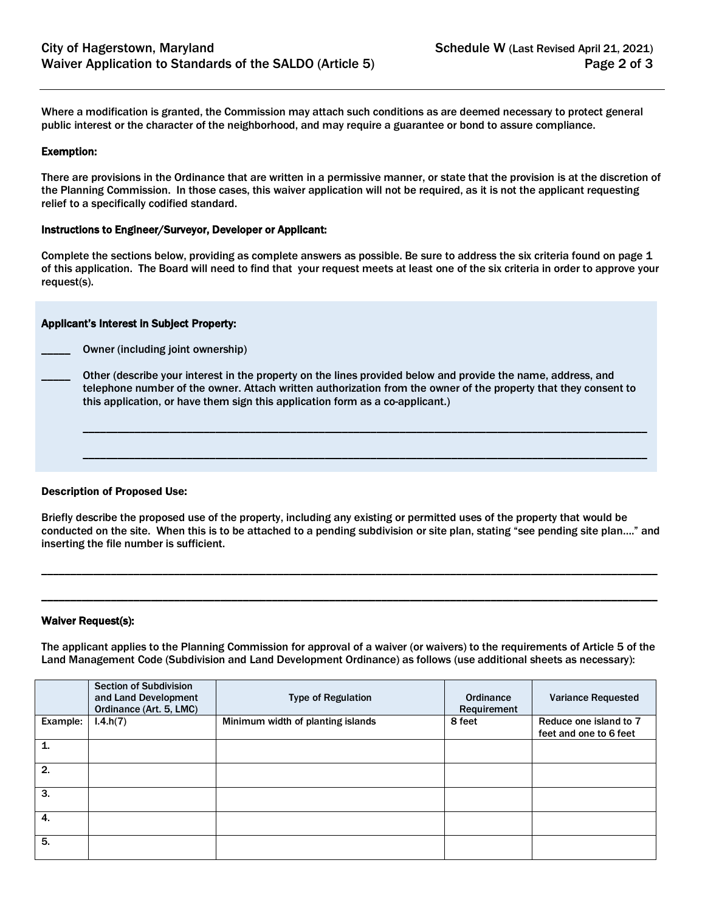Where a modification is granted, the Commission may attach such conditions as are deemed necessary to protect general public interest or the character of the neighborhood, and may require a guarantee or bond to assure compliance.

#### Exemption:

There are provisions in the Ordinance that are written in a permissive manner, or state that the provision is at the discretion of the Planning Commission. In those cases, this waiver application will not be required, as it is not the applicant requesting relief to a specifically codified standard.

#### Instructions to Engineer/Surveyor, Developer or Applicant:

Complete the sections below, providing as complete answers as possible. Be sure to address the six criteria found on page 1 of this application. The Board will need to find that your request meets at least one of the six criteria in order to approve your request(s).

# Applicant's Interest in Subject Property:

Owner (including joint ownership)

\_\_\_\_\_ Other (describe your interest in the property on the lines provided below and provide the name, address, and telephone number of the owner. Attach written authorization from the owner of the property that they consent to this application, or have them sign this application form as a co-applicant.)

\_\_\_\_\_\_\_\_\_\_\_\_\_\_\_\_\_\_\_\_\_\_\_\_\_\_\_\_\_\_\_\_\_\_\_\_\_\_\_\_\_\_\_\_\_\_\_\_\_\_\_\_\_\_\_\_\_\_\_\_\_\_\_\_\_\_\_\_\_\_\_\_\_\_\_\_\_\_\_\_\_\_\_\_\_\_\_\_\_\_\_\_\_\_\_\_\_\_

\_\_\_\_\_\_\_\_\_\_\_\_\_\_\_\_\_\_\_\_\_\_\_\_\_\_\_\_\_\_\_\_\_\_\_\_\_\_\_\_\_\_\_\_\_\_\_\_\_\_\_\_\_\_\_\_\_\_\_\_\_\_\_\_\_\_\_\_\_\_\_\_\_\_\_\_\_\_\_\_\_\_\_\_\_\_\_\_\_\_\_\_\_\_\_\_\_\_

#### Description of Proposed Use:

Briefly describe the proposed use of the property, including any existing or permitted uses of the property that would be conducted on the site. When this is to be attached to a pending subdivision or site plan, stating "see pending site plan…." and inserting the file number is sufficient.

\_\_\_\_\_\_\_\_\_\_\_\_\_\_\_\_\_\_\_\_\_\_\_\_\_\_\_\_\_\_\_\_\_\_\_\_\_\_\_\_\_\_\_\_\_\_\_\_\_\_\_\_\_\_\_\_\_\_\_\_\_\_\_\_\_\_\_\_\_\_\_\_\_\_\_\_\_\_\_\_\_\_\_\_\_\_\_\_\_\_\_\_\_\_\_\_\_\_\_\_\_\_\_\_\_\_\_

\_\_\_\_\_\_\_\_\_\_\_\_\_\_\_\_\_\_\_\_\_\_\_\_\_\_\_\_\_\_\_\_\_\_\_\_\_\_\_\_\_\_\_\_\_\_\_\_\_\_\_\_\_\_\_\_\_\_\_\_\_\_\_\_\_\_\_\_\_\_\_\_\_\_\_\_\_\_\_\_\_\_\_\_\_\_\_\_\_\_\_\_\_\_\_\_\_\_\_\_\_\_\_\_\_\_\_

# Waiver Request(s):

The applicant applies to the Planning Commission for approval of a waiver (or waivers) to the requirements of Article 5 of the Land Management Code (Subdivision and Land Development Ordinance) as follows (use additional sheets as necessary):

|              | <b>Section of Subdivision</b><br>and Land Development<br>Ordinance (Art. 5, LMC) | <b>Type of Regulation</b>         | Ordinance<br>Requirement | <b>Variance Requested</b>                        |
|--------------|----------------------------------------------------------------------------------|-----------------------------------|--------------------------|--------------------------------------------------|
| Example:     | 1.4.h(7)                                                                         | Minimum width of planting islands | 8 feet                   | Reduce one island to 7<br>feet and one to 6 feet |
| $\mathbf{1}$ |                                                                                  |                                   |                          |                                                  |
| 2.           |                                                                                  |                                   |                          |                                                  |
| 3.           |                                                                                  |                                   |                          |                                                  |
| 4.           |                                                                                  |                                   |                          |                                                  |
| 5.           |                                                                                  |                                   |                          |                                                  |